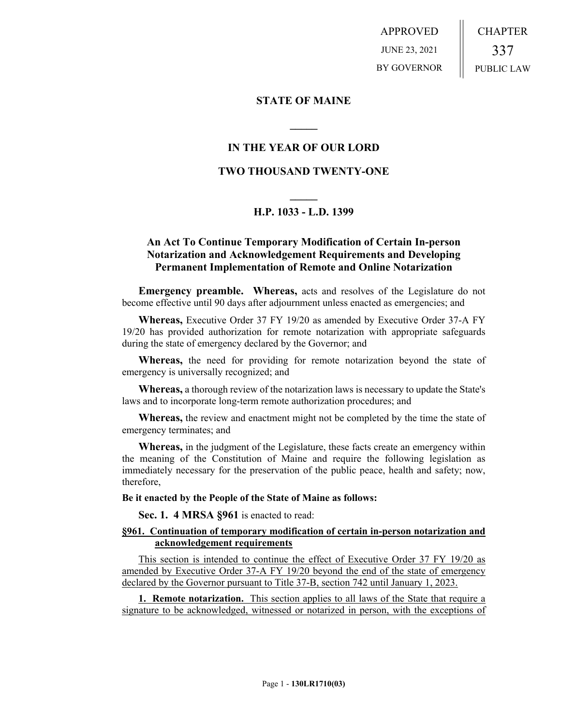APPROVED JUNE 23, 2021 BY GOVERNOR CHAPTER 337 PUBLIC LAW

### **STATE OF MAINE**

## **IN THE YEAR OF OUR LORD**

**\_\_\_\_\_**

### **TWO THOUSAND TWENTY-ONE**

# **\_\_\_\_\_ H.P. 1033 - L.D. 1399**

## **An Act To Continue Temporary Modification of Certain In-person Notarization and Acknowledgement Requirements and Developing Permanent Implementation of Remote and Online Notarization**

**Emergency preamble. Whereas,** acts and resolves of the Legislature do not become effective until 90 days after adjournment unless enacted as emergencies; and

**Whereas,** Executive Order 37 FY 19/20 as amended by Executive Order 37-A FY 19/20 has provided authorization for remote notarization with appropriate safeguards during the state of emergency declared by the Governor; and

**Whereas,** the need for providing for remote notarization beyond the state of emergency is universally recognized; and

**Whereas,** a thorough review of the notarization laws is necessary to update the State's laws and to incorporate long-term remote authorization procedures; and

**Whereas,** the review and enactment might not be completed by the time the state of emergency terminates; and

**Whereas,** in the judgment of the Legislature, these facts create an emergency within the meaning of the Constitution of Maine and require the following legislation as immediately necessary for the preservation of the public peace, health and safety; now, therefore,

**Be it enacted by the People of the State of Maine as follows:**

**Sec. 1. 4 MRSA §961** is enacted to read:

#### **§961. Continuation of temporary modification of certain in-person notarization and acknowledgement requirements**

This section is intended to continue the effect of Executive Order 37 FY 19/20 as amended by Executive Order 37-A FY 19/20 beyond the end of the state of emergency declared by the Governor pursuant to Title 37-B, section 742 until January 1, 2023.

**1. Remote notarization.** This section applies to all laws of the State that require a signature to be acknowledged, witnessed or notarized in person, with the exceptions of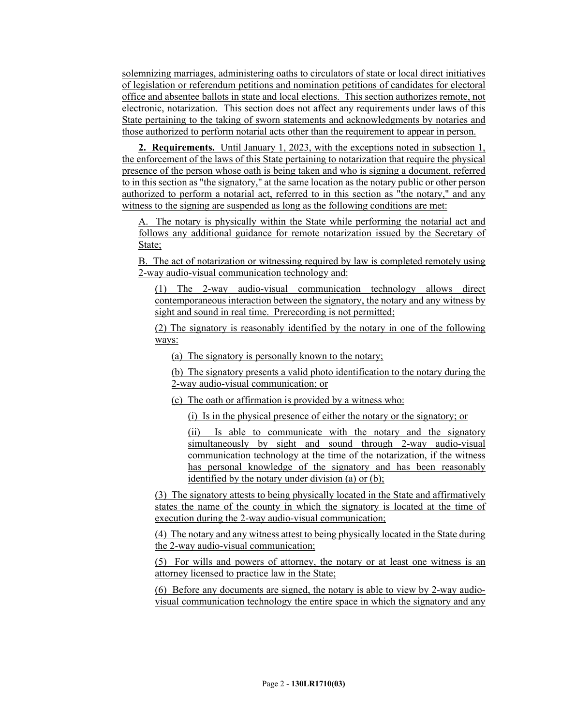solemnizing marriages, administering oaths to circulators of state or local direct initiatives of legislation or referendum petitions and nomination petitions of candidates for electoral office and absentee ballots in state and local elections. This section authorizes remote, not electronic, notarization. This section does not affect any requirements under laws of this State pertaining to the taking of sworn statements and acknowledgments by notaries and those authorized to perform notarial acts other than the requirement to appear in person.

**2. Requirements.** Until January 1, 2023, with the exceptions noted in subsection 1, the enforcement of the laws of this State pertaining to notarization that require the physical presence of the person whose oath is being taken and who is signing a document, referred to in this section as "the signatory," at the same location as the notary public or other person authorized to perform a notarial act, referred to in this section as "the notary," and any witness to the signing are suspended as long as the following conditions are met:

A. The notary is physically within the State while performing the notarial act and follows any additional guidance for remote notarization issued by the Secretary of State;

B. The act of notarization or witnessing required by law is completed remotely using 2-way audio-visual communication technology and:

(1) The 2-way audio-visual communication technology allows direct contemporaneous interaction between the signatory, the notary and any witness by sight and sound in real time. Prerecording is not permitted;

(2) The signatory is reasonably identified by the notary in one of the following ways:

(a) The signatory is personally known to the notary;

(b) The signatory presents a valid photo identification to the notary during the 2-way audio-visual communication; or

(c) The oath or affirmation is provided by a witness who:

(i) Is in the physical presence of either the notary or the signatory; or

(ii) Is able to communicate with the notary and the signatory simultaneously by sight and sound through 2-way audio-visual communication technology at the time of the notarization, if the witness has personal knowledge of the signatory and has been reasonably identified by the notary under division (a) or (b);

(3) The signatory attests to being physically located in the State and affirmatively states the name of the county in which the signatory is located at the time of execution during the 2-way audio-visual communication;

(4) The notary and any witness attest to being physically located in the State during the 2-way audio-visual communication;

(5) For wills and powers of attorney, the notary or at least one witness is an attorney licensed to practice law in the State;

(6) Before any documents are signed, the notary is able to view by 2-way audiovisual communication technology the entire space in which the signatory and any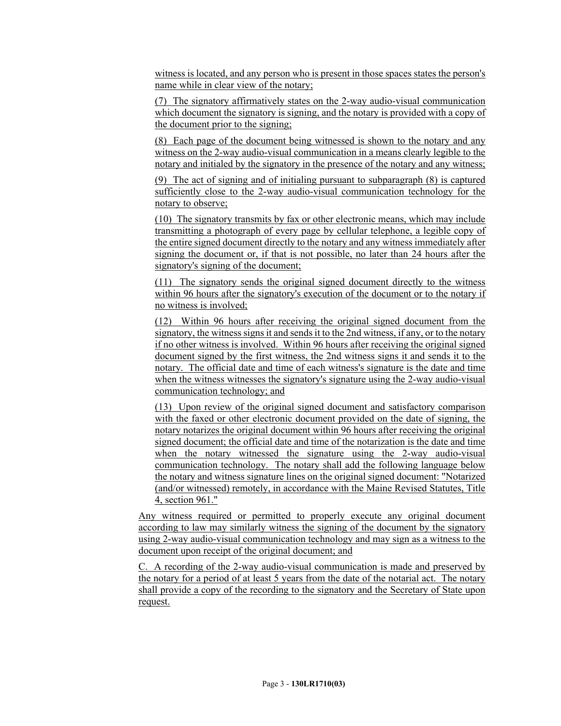witness is located, and any person who is present in those spaces states the person's name while in clear view of the notary;

(7) The signatory affirmatively states on the 2-way audio-visual communication which document the signatory is signing, and the notary is provided with a copy of the document prior to the signing;

(8) Each page of the document being witnessed is shown to the notary and any witness on the 2-way audio-visual communication in a means clearly legible to the notary and initialed by the signatory in the presence of the notary and any witness;

(9) The act of signing and of initialing pursuant to subparagraph (8) is captured sufficiently close to the 2-way audio-visual communication technology for the notary to observe;

(10) The signatory transmits by fax or other electronic means, which may include transmitting a photograph of every page by cellular telephone, a legible copy of the entire signed document directly to the notary and any witness immediately after signing the document or, if that is not possible, no later than 24 hours after the signatory's signing of the document;

(11) The signatory sends the original signed document directly to the witness within 96 hours after the signatory's execution of the document or to the notary if no witness is involved;

(12) Within 96 hours after receiving the original signed document from the signatory, the witness signs it and sends it to the 2nd witness, if any, or to the notary if no other witness is involved. Within 96 hours after receiving the original signed document signed by the first witness, the 2nd witness signs it and sends it to the notary. The official date and time of each witness's signature is the date and time when the witness witnesses the signatory's signature using the 2-way audio-visual communication technology; and

(13) Upon review of the original signed document and satisfactory comparison with the faxed or other electronic document provided on the date of signing, the notary notarizes the original document within 96 hours after receiving the original signed document; the official date and time of the notarization is the date and time when the notary witnessed the signature using the 2-way audio-visual communication technology. The notary shall add the following language below the notary and witness signature lines on the original signed document: "Notarized (and/or witnessed) remotely, in accordance with the Maine Revised Statutes, Title 4, section 961."

Any witness required or permitted to properly execute any original document according to law may similarly witness the signing of the document by the signatory using 2-way audio-visual communication technology and may sign as a witness to the document upon receipt of the original document; and

C. A recording of the 2-way audio-visual communication is made and preserved by the notary for a period of at least 5 years from the date of the notarial act. The notary shall provide a copy of the recording to the signatory and the Secretary of State upon request.